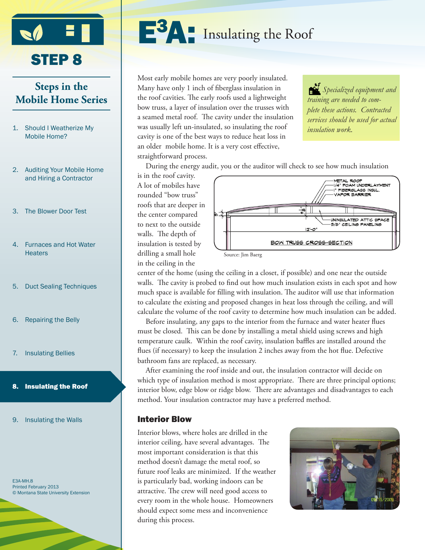

# **Steps in the Mobile Home Series**

- 1. Should I Weatherize My Mobile Home?
- 2. Auditing Your Mobile Home and Hiring a Contractor
- 3. The Blower Door Test
- 4. Furnaces and Hot Water **Heaters**
- 5. Duct Sealing Techniques
- 6. Repairing the Belly
- 7. Insulating Bellies

#### 8. Insulating the Roof

9. Insulating the Walls

E3A-MH.8 Printed February 2013 © Montana State University Extension



Most early mobile homes are very poorly insulated. Many have only 1 inch of fiberglass insulation in the roof cavities. The early roofs used a lightweight bow truss, a layer of insulation over the trusses with a seamed metal roof. The cavity under the insulation was usually left un-insulated, so insulating the roof cavity is one of the best ways to reduce heat loss in an older mobile home. It is a very cost effective, straightforward process.

*Specialized equipment and training are needed to complete these actions. Contracted services should be used for actual insulation work.*

During the energy audit, you or the auditor will check to see how much insulation

is in the roof cavity. A lot of mobiles have rounded "bow truss" roofs that are deeper in the center compared to next to the outside walls. The depth of insulation is tested by drilling a small hole in the ceiling in the



center of the home (using the ceiling in a closet, if possible) and one near the outside walls. The cavity is probed to find out how much insulation exists in each spot and how much space is available for filling with insulation. The auditor will use that information to calculate the existing and proposed changes in heat loss through the ceiling, and will calculate the volume of the roof cavity to determine how much insulation can be added.

Before insulating, any gaps to the interior from the furnace and water heater flues must be closed. This can be done by installing a metal shield using screws and high temperature caulk. Within the roof cavity, insulation baffles are installed around the flues (if necessary) to keep the insulation 2 inches away from the hot flue. Defective bathroom fans are replaced, as necessary.

After examining the roof inside and out, the insulation contractor will decide on which type of insulation method is most appropriate. There are three principal options; interior blow, edge blow or ridge blow. There are advantages and disadvantages to each method. Your insulation contractor may have a preferred method.

### Interior Blow

Interior blows, where holes are drilled in the interior ceiling, have several advantages. The most important consideration is that this method doesn't damage the metal roof, so future roof leaks are minimized. If the weather is particularly bad, working indoors can be attractive. The crew will need good access to every room in the whole house. Homeowners should expect some mess and inconvenience during this process.

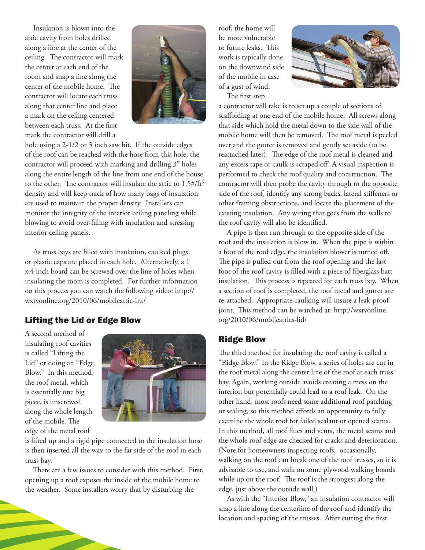Insulation is blown into the attic cavity from holes drilled along a line at the center of the ceiling. The contractor will mark the center at each end of the room and snap a line along the center of the mobile home. The contractor will locate each truss along that center line and place a mark on the ceiling centered between each truss. At the first mark the contractor will drill a



hole using a 2-1/2 or 3 inch saw bit. If the outside edges of the roof can be reached with the hose from this hole, the contractor will proceed with marking and drilling 3" holes along the entire length of the line from one end of the house to the other. The contractor will insulate the attic to  $1.5$ #/ft<sup>3</sup> density and will keep track of how many bags of insulation are used to maintain the proper density. Installers can monitor the integrity of the interior ceiling paneling while blowing to avoid over-filling with insulation and stressing interior ceiling panels.

As truss bays are filled with insulation, caulked plugs or plastic caps are placed in each hole. Alternatively, a 1 x 4 inch board can be screwed over the line of holes when insulating the room is completed. For further information on this process you can watch the following video: http:// wxtvonline.org/2010/06/mobileattic-int/

# Lifting the Lid or Edge Blow

A second method of insulating roof cavities is called "Lifting the Lid" or doing an "Edge Blow." In this method, the roof metal, which is essentially one big piece, is unscrewed along the whole length of the mobile. The edge of the metal roof



is lifted up and a rigid pipe connected to the insulation hose is then inserted all the way to the far side of the roof in each truss bay.

There are a few issues to consider with this method. First, opening up a roof exposes the inside of the mobile home to the weather. Some installers worry that by disturbing the

roof, the home will be more vulnerable to future leaks. This work is typically done on the downwind side of the mobile in case of a gust of wind.



The first step

a contractor will take is to set up a couple of sections of scaffolding at one end of the mobile home. All screws along that side which hold the metal down to the side wall of the mobile home will then be removed. The roof metal is peeled over and the gutter is removed and gently set aside (to be reattached later). The edge of the roof metal is cleaned and any excess tape or caulk is scraped off. A visual inspection is performed to check the roof quality and construction. The contractor will then probe the cavity through to the opposite side of the roof, identify any strong backs, lateral stiffeners or other framing obstructions, and locate the placement of the existing insulation. Any wiring that goes from the walls to the roof cavity will also be identified.

A pipe is then run through to the opposite side of the roof and the insulation is blow in. When the pipe is within a foot of the roof edge, the insulation blower is turned off. The pipe is pulled out from the roof opening and the last foot of the roof cavity is filled with a piece of fiberglass batt insulation. This process is repeated for each truss bay. When a section of roof is completed, the roof metal and gutter are re-attached. Appropriate caulking will insure a leak-proof joint. This method can be watched at: http://wxtvonline. org/2010/06/mobileattics-lid/

# Ridge Blow

The third method for insulating the roof cavity is called a "Ridge Blow." In the Ridge Blow, a series of holes are cut in the roof metal along the center line of the roof at each truss bay. Again, working outside avoids creating a mess on the interior, but potentially could lead to a roof leak. On the other hand, most roofs need some additional roof patching or sealing, so this method affords an opportunity to fully examine the whole roof for failed sealant or opened seams. In this method, all roof flues and vents, the metal seams and the whole roof edge are checked for cracks and deterioration. (Note for homeowners inspecting roofs: occasionally, walking on the roof can break one of the roof trusses, so it is advisable to use, and walk on some plywood walking boards while up on the roof. The roof is the strongest along the edge, just above the outside wall.)

As with the "Interior Blow," an insulation contractor will snap a line along the centerline of the roof and identify the location and spacing of the trusses. After cutting the first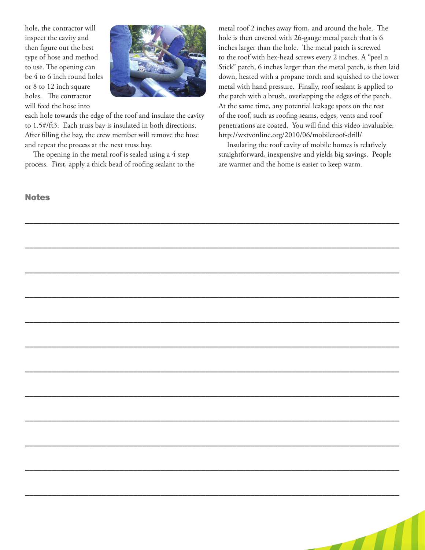hole, the contractor will inspect the cavity and then figure out the best type of hose and method to use. The opening can be 4 to 6 inch round holes or 8 to 12 inch square holes. The contractor will feed the hose into



each hole towards the edge of the roof and insulate the cavity to 1.5#/ft3. Each truss bay is insulated in both directions. After filling the bay, the crew member will remove the hose and repeat the process at the next truss bay.

The opening in the metal roof is sealed using a 4 step process. First, apply a thick bead of roofing sealant to the

## **Notes**

metal roof 2 inches away from, and around the hole. The hole is then covered with 26-gauge metal patch that is 6 inches larger than the hole. The metal patch is screwed to the roof with hex-head screws every 2 inches. A "peel n Stick" patch, 6 inches larger than the metal patch, is then laid down, heated with a propane torch and squished to the lower metal with hand pressure. Finally, roof sealant is applied to the patch with a brush, overlapping the edges of the patch. At the same time, any potential leakage spots on the rest of the roof, such as roofing seams, edges, vents and roof penetrations are coated. You will find this video invaluable: http://wxtvonline.org/2010/06/mobileroof-drill/

Insulating the roof cavity of mobile homes is relatively straightforward, inexpensive and yields big savings. People are warmer and the home is easier to keep warm.